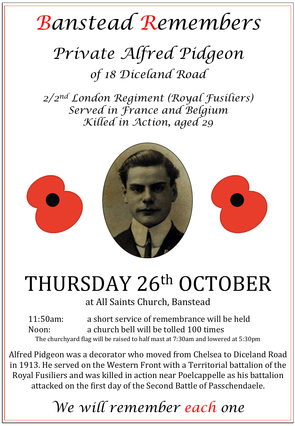## *Banstead Remembers*

## *Private Alfred Pidgeon of 18 Diceland Road*

*2/2nd London Regiment (Royal Fusiliers) Served in France and Belgium Killed in Action, aged 29* 



## THURSDAY 26th OCTOBER

at All Saints Church, Banstead

11:50am: a short service of remembrance will be held Noon: a church bell will be tolled 100 times The churchyard flag will be raised to half mast at 7:30am and lowered at 5:30pm

Alfred Pidgeon was a decorator who moved from Chelsea to Diceland Road in 1913. He served on the Western Front with a Territorial battalion of the Royal Fusiliers and was killed in action near Poelcappelle as his battalion attacked on the first day of the Second Battle of Passchendaele.

*We will remember each one*